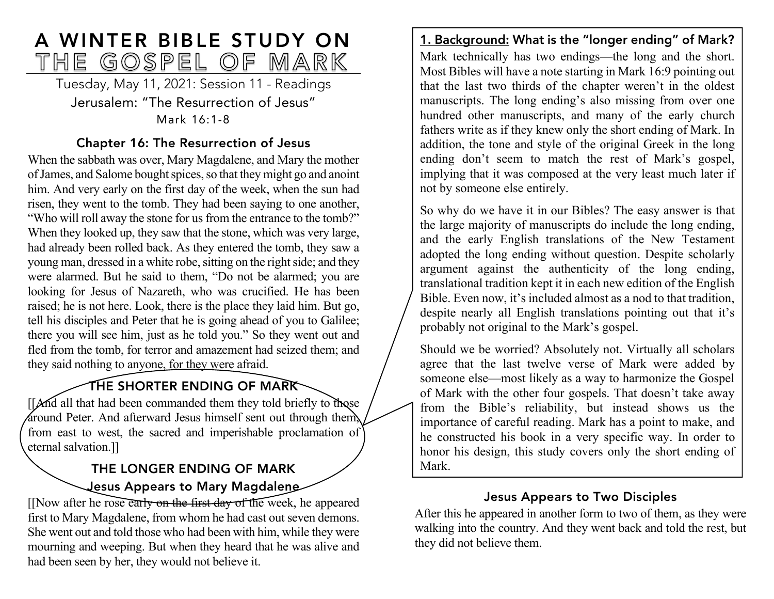# A WINTER BIBLE STUDY ON<br>THE GOSPEL OF MARK

Tuesday, May 11, 2021: Session 11 - Readings Jerusalem: "The Resurrection of Jesus" Mark 16:1-8

#### Chapter 16: The Resurrection of Jesus

When the sabbath was over, Mary Magdalene, and Mary the mother of James, and Salome bought spices, so that they might go and anoint him. And very early on the first day of the week, when the sun had risen, they went to the tomb. They had been saying to one another, "Who will roll away the stone for us from the entrance to the tomb?" When they looked up, they saw that the stone, which was very large, had already been rolled back. As they entered the tomb, they saw a young man, dressed in a white robe, sitting on the right side; and they were alarmed. But he said to them, "Do not be alarmed; you are looking for Jesus of Nazareth, who was crucified. He has been raised; he is not here. Look, there is the place they laid him. But go, tell his disciples and Peter that he is going ahead of you to Galilee; there you will see him, just as he told you." So they went out and fled from the tomb, for terror and amazement had seized them; and they said nothing to anyone, for they were afraid.

### THE SHORTER ENDING OF MARK

[[And all that had been commanded them they told briefly to those around Peter. And afterward Jesus himself sent out through them, from east to west, the sacred and imperishable proclamation of eternal salvation.]]

#### THE LONGER ENDING OF MARK Jesus Appears to Mary Magdalene

 $\lfloor$ [Now after he rose early on the first day of the week, he appeared first to Mary Magdalene, from whom he had cast out seven demons. She went out and told those who had been with him, while they were mourning and weeping. But when they heard that he was alive and had been seen by her, they would not believe it.

1. Background: What is the "longer ending" of Mark? Mark technically has two endings—the long and the short. Most Bibles will have a note starting in Mark 16:9 pointing out that the last two thirds of the chapter weren't in the oldest manuscripts. The long ending's also missing from over one hundred other manuscripts, and many of the early church fathers write as if they knew only the short ending of Mark. In addition, the tone and style of the original Greek in the long ending don't seem to match the rest of Mark's gospel, implying that it was composed at the very least much later if not by someone else entirely.

So why do we have it in our Bibles? The easy answer is that the large majority of manuscripts do include the long ending, and the early English translations of the New Testament adopted the long ending without question. Despite scholarly argument against the authenticity of the long ending, translational tradition kept it in each new edition of the English Bible. Even now, it's included almost as a nod to that tradition, despite nearly all English translations pointing out that it's probably not original to the Mark's gospel.

Should we be worried? Absolutely not. Virtually all scholars agree that the last twelve verse of Mark were added by someone else—most likely as a way to harmonize the Gospel of Mark with the other four gospels. That doesn't take away from the Bible's reliability, but instead shows us the importance of careful reading. Mark has a point to make, and he constructed his book in a very specific way. In order to honor his design, this study covers only the short ending of Mark.

#### Jesus Appears to Two Disciples

After this he appeared in another form to two of them, as they were walking into the country. And they went back and told the rest, but they did not believe them.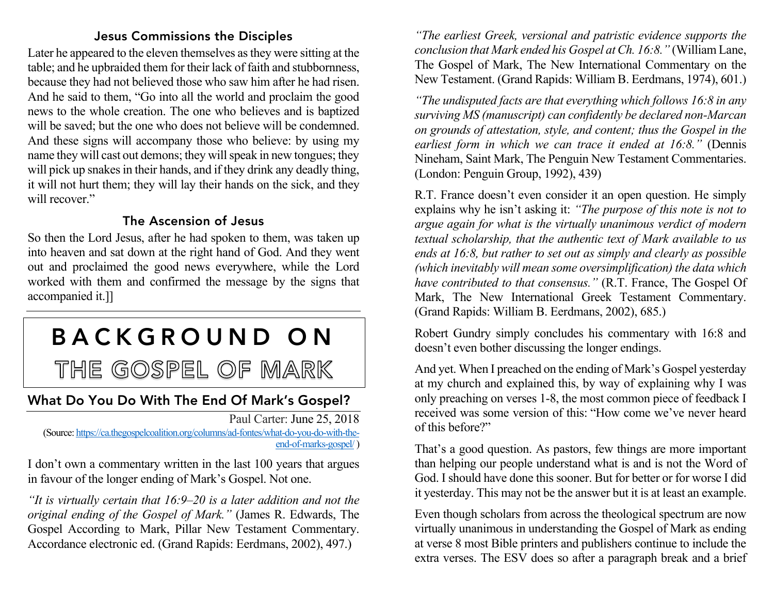#### Jesus Commissions the Disciples

Later he appeared to the eleven themselves as they were sitting at the table; and he upbraided them for their lack of faith and stubbornness, because they had not believed those who saw him after he had risen. And he said to them, "Go into all the world and proclaim the good news to the whole creation. The one who believes and is baptized will be saved; but the one who does not believe will be condemned. And these signs will accompany those who believe: by using my name they will cast out demons; they will speak in new tongues; they will pick up snakes in their hands, and if they drink any deadly thing, it will not hurt them; they will lay their hands on the sick, and they will recover."

#### The Ascension of Jesus

So then the Lord Jesus, after he had spoken to them, was taken up into heaven and sat down at the right hand of God. And they went out and proclaimed the good news everywhere, while the Lord worked with them and confirmed the message by the signs that accompanied it.]]

# BACKGROUND ON

THE GOSPEL OF MARK

## What Do You Do With The End Of Mark's Gospel?

Paul Carter: June 25, 2018

(Source: https://ca.thegospelcoalition.org/columns/ad-fontes/what-do-you-do-with-theend-of-marks-gospel/)

I don't own a commentary written in the last 100 years that argues in favour of the longer ending of Mark's Gospel. Not one.

*"It is virtually certain that 16:9–20 is a later addition and not the original ending of the Gospel of Mark."* (James R. Edwards, The Gospel According to Mark, Pillar New Testament Commentary. Accordance electronic ed. (Grand Rapids: Eerdmans, 2002), 497.)

*"The earliest Greek, versional and patristic evidence supports the conclusion that Mark ended his Gospel at Ch. 16:8."* (William Lane, The Gospel of Mark, The New International Commentary on the New Testament. (Grand Rapids: William B. Eerdmans, 1974), 601.)

*"The undisputed facts are that everything which follows 16:8 in any surviving MS (manuscript) can confidently be declared non-Marcan on grounds of attestation, style, and content; thus the Gospel in the earliest form in which we can trace it ended at 16:8."* (Dennis Nineham, Saint Mark, The Penguin New Testament Commentaries. (London: Penguin Group, 1992), 439)

R.T. France doesn't even consider it an open question. He simply explains why he isn't asking it: *"The purpose of this note is not to argue again for what is the virtually unanimous verdict of modern textual scholarship, that the authentic text of Mark available to us ends at 16:8, but rather to set out as simply and clearly as possible (which inevitably will mean some oversimplification) the data which have contributed to that consensus."* (R.T. France, The Gospel Of Mark, The New International Greek Testament Commentary. (Grand Rapids: William B. Eerdmans, 2002), 685.)

Robert Gundry simply concludes his commentary with 16:8 and doesn't even bother discussing the longer endings.

And yet. When I preached on the ending of Mark's Gospel yesterday at my church and explained this, by way of explaining why I was only preaching on verses 1-8, the most common piece of feedback I received was some version of this: "How come we've never heard of this before?"

That's a good question. As pastors, few things are more important than helping our people understand what is and is not the Word of God. I should have done this sooner. But for better or for worse I did it yesterday. This may not be the answer but it is at least an example.

Even though scholars from across the theological spectrum are now virtually unanimous in understanding the Gospel of Mark as ending at verse 8 most Bible printers and publishers continue to include the extra verses. The ESV does so after a paragraph break and a brief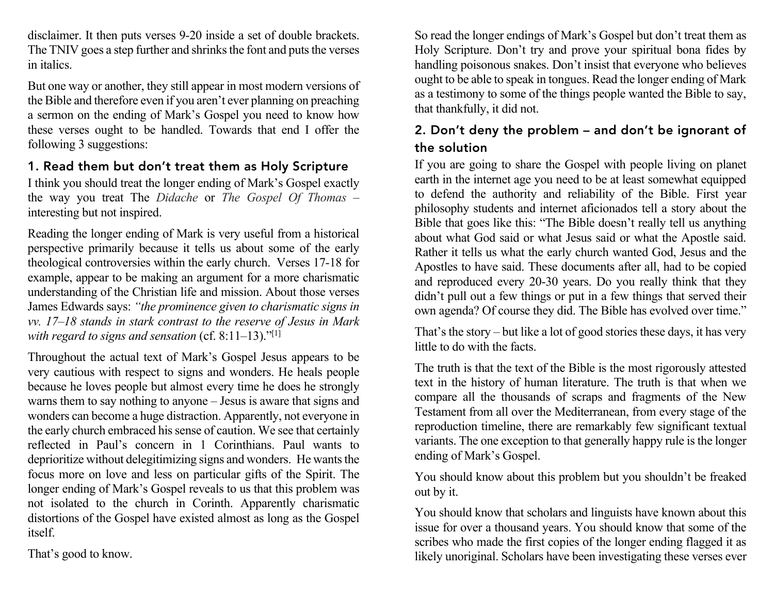disclaimer. It then puts verses 9-20 inside a set of double brackets. The TNIV goes a step further and shrinks the font and puts the verses in italics.

But one way or another, they still appear in most modern versions of the Bible and therefore even if you aren't ever planning on preaching a sermon on the ending of Mark's Gospel you need to know how these verses ought to be handled. Towards that end I offer the following 3 suggestions:

#### 1. Read them but don't treat them as Holy Scripture

I think you should treat the longer ending of Mark's Gospel exactly the way you treat The *Didache* or *The Gospel Of Thomas* – interesting but not inspired.

Reading the longer ending of Mark is very useful from a historical perspective primarily because it tells us about some of the early theological controversies within the early church. Verses 17-18 for example, appear to be making an argument for a more charismatic understanding of the Christian life and mission. About those verses James Edwards says: *"the prominence given to charismatic signs in vv. 17–18 stands in stark contrast to the reserve of Jesus in Mark*  with regard to signs and sensation (cf.  $8:11-13$ )."<sup>[1]</sup>

Throughout the actual text of Mark's Gospel Jesus appears to be very cautious with respect to signs and wonders. He heals people because he loves people but almost every time he does he strongly warns them to say nothing to anyone – Jesus is aware that signs and wonders can become a huge distraction. Apparently, not everyone in the early church embraced his sense of caution. We see that certainly reflected in Paul's concern in 1 Corinthians. Paul wants to deprioritize without delegitimizing signs and wonders. He wants the focus more on love and less on particular gifts of the Spirit. The longer ending of Mark's Gospel reveals to us that this problem was not isolated to the church in Corinth. Apparently charismatic distortions of the Gospel have existed almost as long as the Gospel itself.

That's good to know.

So read the longer endings of Mark's Gospel but don't treat them as Holy Scripture. Don't try and prove your spiritual bona fides by handling poisonous snakes. Don't insist that everyone who believes ought to be able to speak in tongues. Read the longer ending of Mark as a testimony to some of the things people wanted the Bible to say, that thankfully, it did not.

#### 2. Don't deny the problem – and don't be ignorant of the solution

If you are going to share the Gospel with people living on planet earth in the internet age you need to be at least somewhat equipped to defend the authority and reliability of the Bible. First year philosophy students and internet aficionados tell a story about the Bible that goes like this: "The Bible doesn't really tell us anything about what God said or what Jesus said or what the Apostle said. Rather it tells us what the early church wanted God, Jesus and the Apostles to have said. These documents after all, had to be copied and reproduced every 20-30 years. Do you really think that they didn't pull out a few things or put in a few things that served their own agenda? Of course they did. The Bible has evolved over time."

That's the story – but like a lot of good stories these days, it has very little to do with the facts.

The truth is that the text of the Bible is the most rigorously attested text in the history of human literature. The truth is that when we compare all the thousands of scraps and fragments of the New Testament from all over the Mediterranean, from every stage of the reproduction timeline, there are remarkably few significant textual variants. The one exception to that generally happy rule is the longer ending of Mark's Gospel.

You should know about this problem but you shouldn't be freaked out by it.

You should know that scholars and linguists have known about this issue for over a thousand years. You should know that some of the scribes who made the first copies of the longer ending flagged it as likely unoriginal. Scholars have been investigating these verses ever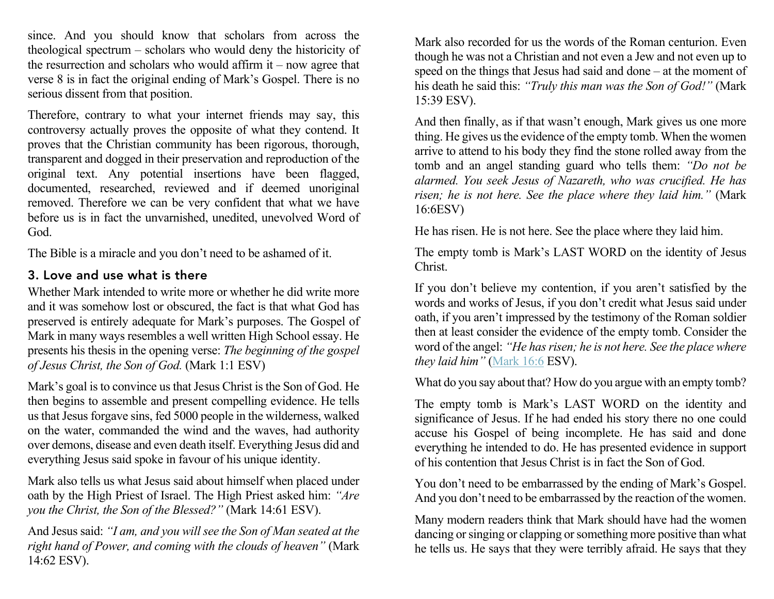since. And you should know that scholars from across the theological spectrum – scholars who would deny the historicity of the resurrection and scholars who would affirm it – now agree that verse 8 is in fact the original ending of Mark's Gospel. There is no serious dissent from that position.

Therefore, contrary to what your internet friends may say, this controversy actually proves the opposite of what they contend. It proves that the Christian community has been rigorous, thorough, transparent and dogged in their preservation and reproduction of the original text. Any potential insertions have been flagged, documented, researched, reviewed and if deemed unoriginal removed. Therefore we can be very confident that what we have before us is in fact the unvarnished, unedited, unevolved Word of God.

The Bible is a miracle and you don't need to be ashamed of it.

#### 3. Love and use what is there

Whether Mark intended to write more or whether he did write more and it was somehow lost or obscured, the fact is that what God has preserved is entirely adequate for Mark's purposes. The Gospel of Mark in many ways resembles a well written High School essay. He presents his thesis in the opening verse: *The beginning of the gospel of Jesus Christ, the Son of God.* (Mark 1:1 ESV)

Mark's goal is to convince us that Jesus Christ is the Son of God. He then begins to assemble and present compelling evidence. He tells us that Jesus forgave sins, fed 5000 people in the wilderness, walked on the water, commanded the wind and the waves, had authority over demons, disease and even death itself. Everything Jesus did and everything Jesus said spoke in favour of his unique identity.

Mark also tells us what Jesus said about himself when placed under oath by the High Priest of Israel. The High Priest asked him: *"Are you the Christ, the Son of the Blessed?"* (Mark 14:61 ESV).

And Jesus said: *"I am, and you will see the Son of Man seated at the right hand of Power, and coming with the clouds of heaven"* (Mark 14:62 ESV).

Mark also recorded for us the words of the Roman centurion. Even though he was not a Christian and not even a Jew and not even up to speed on the things that Jesus had said and done – at the moment of his death he said this: *"Truly this man was the Son of God!"* (Mark 15:39 ESV).

And then finally, as if that wasn't enough, Mark gives us one more thing. He gives us the evidence of the empty tomb. When the women arrive to attend to his body they find the stone rolled away from the tomb and an angel standing guard who tells them: *"Do not be alarmed. You seek Jesus of Nazareth, who was crucified. He has risen; he is not here. See the place where they laid him."* (Mark 16:6ESV)

He has risen. He is not here. See the place where they laid him.

The empty tomb is Mark's LAST WORD on the identity of Jesus Christ.

If you don't believe my contention, if you aren't satisfied by the words and works of Jesus, if you don't credit what Jesus said under oath, if you aren't impressed by the testimony of the Roman soldier then at least consider the evidence of the empty tomb. Consider the word of the angel: *"He has risen; he is not here. See the place where they laid him"* (Mark 16:6 ESV).

What do you say about that? How do you argue with an empty tomb?

The empty tomb is Mark's LAST WORD on the identity and significance of Jesus. If he had ended his story there no one could accuse his Gospel of being incomplete. He has said and done everything he intended to do. He has presented evidence in support of his contention that Jesus Christ is in fact the Son of God.

You don't need to be embarrassed by the ending of Mark's Gospel. And you don't need to be embarrassed by the reaction of the women.

Many modern readers think that Mark should have had the women dancing or singing or clapping or something more positive than what he tells us. He says that they were terribly afraid. He says that they